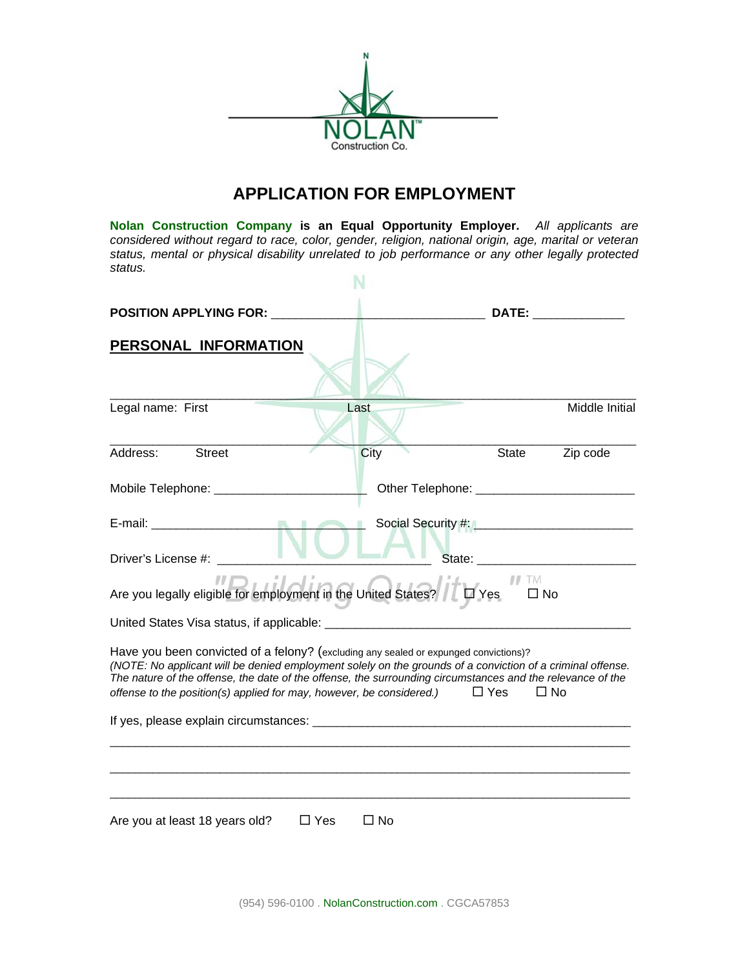

# **APPLICATION FOR EMPLOYMENT**

**Nolan Construction Company is an Equal Opportunity Employer.** *All applicants are considered without regard to race, color, gender, religion, national origin, age, marital or veteran status, mental or physical disability unrelated to job performance or any other legally protected status.* M

| <b>POSITION APPLYING FOR:</b>                                                                                                                                                                                                                                                                                                                                                                       | <u> 1980 - Johann Barn, mars ann an t-A</u> |                              | DATE: ______________  |
|-----------------------------------------------------------------------------------------------------------------------------------------------------------------------------------------------------------------------------------------------------------------------------------------------------------------------------------------------------------------------------------------------------|---------------------------------------------|------------------------------|-----------------------|
| PERSONAL INFORMATION                                                                                                                                                                                                                                                                                                                                                                                |                                             |                              |                       |
| Legal name: First                                                                                                                                                                                                                                                                                                                                                                                   | Last                                        |                              | <b>Middle Initial</b> |
| Address:<br><b>Street</b>                                                                                                                                                                                                                                                                                                                                                                           | City                                        | <b>State</b>                 | Zip code              |
|                                                                                                                                                                                                                                                                                                                                                                                                     |                                             |                              |                       |
| $\sim$                                                                                                                                                                                                                                                                                                                                                                                              |                                             |                              |                       |
| Driver's License #:                                                                                                                                                                                                                                                                                                                                                                                 |                                             |                              |                       |
| Are you legally eligible for employment in the United States?                                                                                                                                                                                                                                                                                                                                       |                                             | $\frac{1}{2}$ M<br>$\Box$ No |                       |
|                                                                                                                                                                                                                                                                                                                                                                                                     |                                             |                              |                       |
| Have you been convicted of a felony? (excluding any sealed or expunged convictions)?<br>(NOTE: No applicant will be denied employment solely on the grounds of a conviction of a criminal offense.<br>The nature of the offense, the date of the offense, the surrounding circumstances and the relevance of the<br>offense to the position(s) applied for may, however, be considered.) $\Box$ Yes |                                             |                              | $\Box$ No             |
|                                                                                                                                                                                                                                                                                                                                                                                                     |                                             |                              |                       |
|                                                                                                                                                                                                                                                                                                                                                                                                     |                                             |                              |                       |
| $\Box$ Yes<br>Are you at least 18 years old?                                                                                                                                                                                                                                                                                                                                                        | $\Box$ No                                   |                              |                       |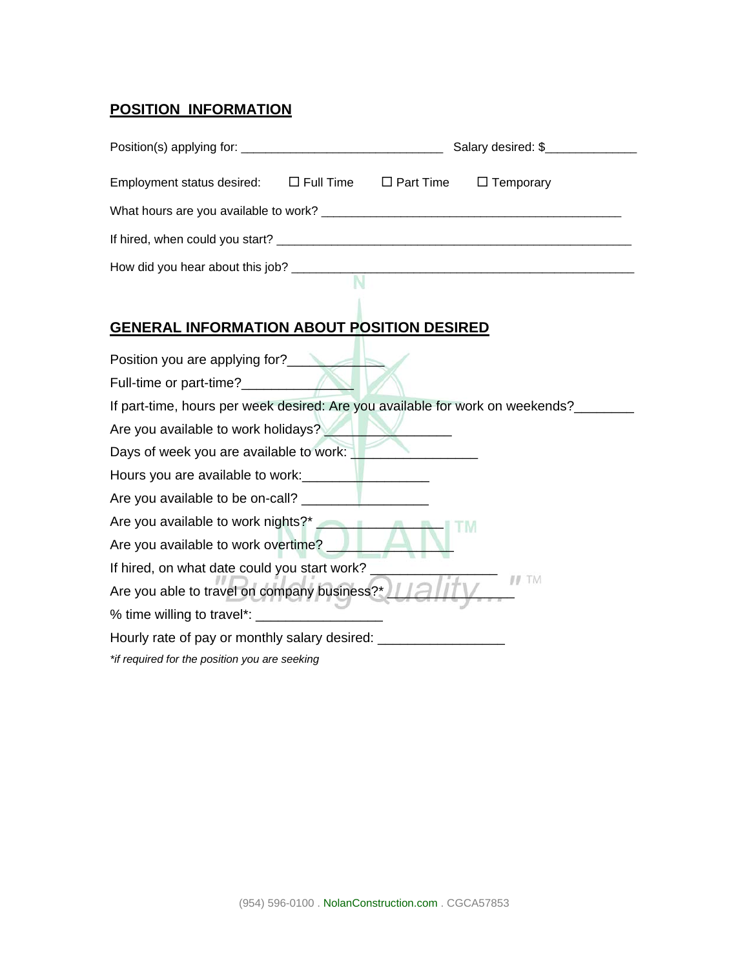## **POSITION INFORMATION**

|                                                                                                                                                                                                                                        |  | Salary desired: \$ |
|----------------------------------------------------------------------------------------------------------------------------------------------------------------------------------------------------------------------------------------|--|--------------------|
| Employment status desired: $\square$ Full Time $\square$ Part Time                                                                                                                                                                     |  | $\Box$ Temporary   |
|                                                                                                                                                                                                                                        |  |                    |
|                                                                                                                                                                                                                                        |  |                    |
| How did you hear about this job?                                                                                                                                                                                                       |  |                    |
|                                                                                                                                                                                                                                        |  |                    |
| <b>GENERAL INFORMATION ABOUT POSITION DESIRED</b>                                                                                                                                                                                      |  |                    |
| Position you are applying for?<br><b>Example 2014</b>                                                                                                                                                                                  |  |                    |
| Full-time or part-time?                                                                                                                                                                                                                |  |                    |
| If part-time, hours per week desired: Are you available for work on weekends?_____                                                                                                                                                     |  |                    |
| Are you available to work holidays?                                                                                                                                                                                                    |  |                    |
| Days of week you are available to work:                                                                                                                                                                                                |  |                    |
| Hours you are available to work:<br><u>Letting and the set of the set of the set of the set of the set of the set of the set of the set of the set of the set of the set of the set of the set of the set of the set of the set of</u> |  |                    |
|                                                                                                                                                                                                                                        |  |                    |
| Are you available to work nights?*                                                                                                                                                                                                     |  |                    |
| Are you available to work overtime?                                                                                                                                                                                                    |  |                    |
| If hired, on what date could you start work?                                                                                                                                                                                           |  |                    |
| Are you able to travel on company business?* 11211                                                                                                                                                                                     |  | $II$ . TM          |
|                                                                                                                                                                                                                                        |  |                    |
| Hourly rate of pay or monthly salary desired:                                                                                                                                                                                          |  |                    |
| *if required for the position you are seeking                                                                                                                                                                                          |  |                    |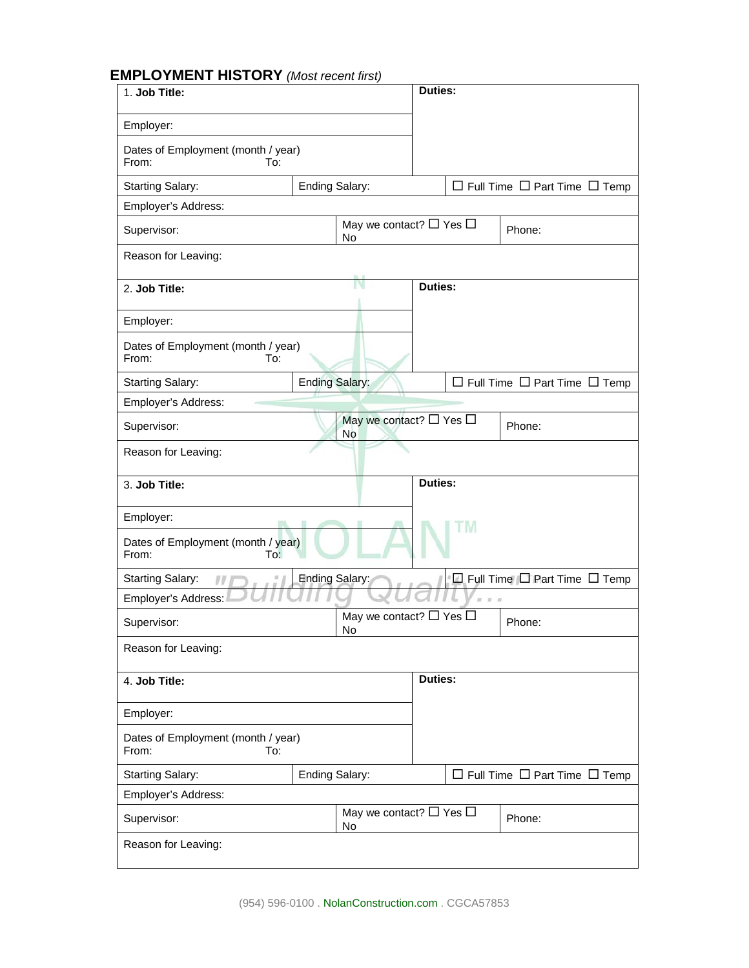### **EMPLOYMENT HISTORY** *(Most recent first)*

| 1. Job Title:                                      |                       |                                         | Duties:        |                       |                                               |
|----------------------------------------------------|-----------------------|-----------------------------------------|----------------|-----------------------|-----------------------------------------------|
| Employer:                                          |                       |                                         |                |                       |                                               |
| Dates of Employment (month / year)<br>From:<br>To: |                       |                                         |                |                       |                                               |
| <b>Starting Salary:</b>                            | Ending Salary:        |                                         |                |                       | $\Box$ Full Time $\Box$ Part Time $\Box$ Temp |
| Employer's Address:                                |                       |                                         |                |                       |                                               |
| Supervisor:                                        |                       | May we contact? $\Box$ Yes $\Box$<br>No |                |                       | Phone:                                        |
| Reason for Leaving:                                |                       |                                         |                |                       |                                               |
| 2. Job Title:                                      |                       |                                         | <b>Duties:</b> |                       |                                               |
| Employer:                                          |                       |                                         |                |                       |                                               |
| Dates of Employment (month / year)<br>From:<br>To: |                       |                                         |                |                       |                                               |
| <b>Starting Salary:</b>                            | <b>Ending Salary:</b> |                                         |                |                       | $\Box$ Full Time $\Box$ Part Time $\Box$ Temp |
| Employer's Address:                                |                       |                                         |                |                       |                                               |
| Supervisor:                                        |                       | May we contact? □ Yes □<br>No           |                |                       | Phone:                                        |
| Reason for Leaving:                                |                       |                                         |                |                       |                                               |
|                                                    |                       |                                         |                |                       |                                               |
| 3. Job Title:                                      |                       |                                         | <b>Duties:</b> |                       |                                               |
| Employer:                                          |                       |                                         |                |                       |                                               |
| Dates of Employment (month / year)<br>From:<br>To: |                       |                                         |                | 'M                    |                                               |
| <b>Starting Salary:</b><br>$\eta$                  | <b>Ending Salary:</b> |                                         |                |                       | $\Box$ Full Time $\Box$ Part Time $\Box$ Temp |
| Employer's Address:                                |                       |                                         |                | $\overline{u}$<br>ंडा |                                               |
| Supervisor:                                        |                       | May we contact? $\Box$ Yes $\Box$<br>No |                |                       | Phone:                                        |
| Reason for Leaving:                                |                       |                                         |                |                       |                                               |
| 4. Job Title:                                      |                       |                                         | Duties:        |                       |                                               |
| Employer:                                          |                       |                                         |                |                       |                                               |
| Dates of Employment (month / year)<br>From:<br>To: |                       |                                         |                |                       |                                               |
| <b>Starting Salary:</b>                            | Ending Salary:        |                                         |                |                       | $\Box$ Full Time $\Box$ Part Time $\Box$ Temp |
| Employer's Address:                                |                       |                                         |                |                       |                                               |
| Supervisor:                                        |                       | May we contact? $\Box$ Yes $\Box$<br>No |                |                       | Phone:                                        |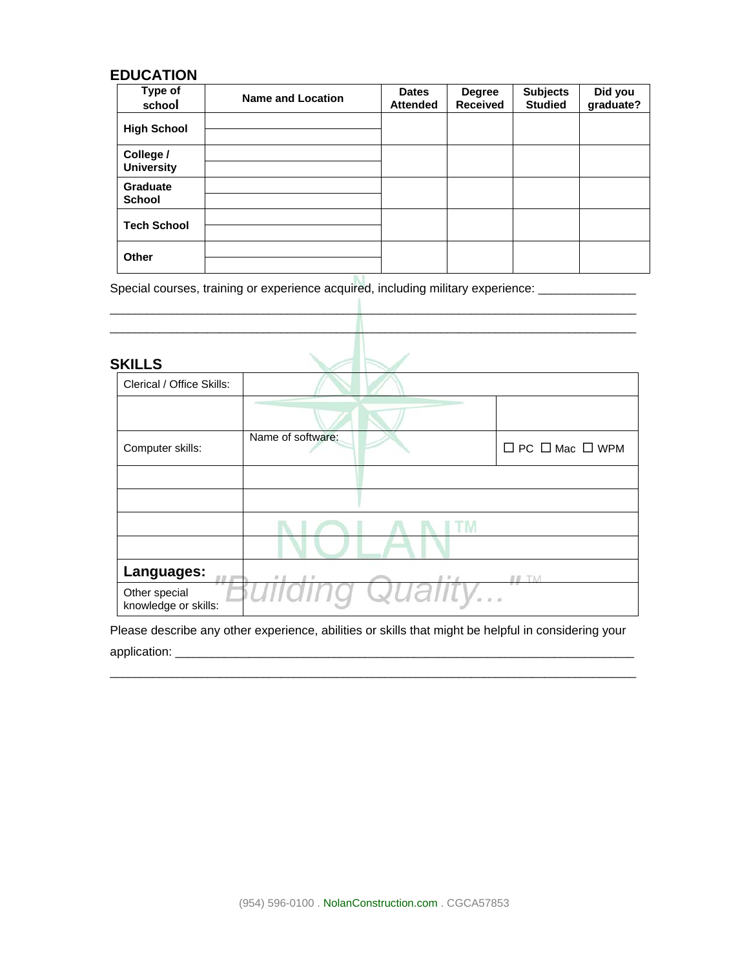#### **EDUCATION**

| Type of<br>school                | <b>Name and Location</b> | <b>Dates</b><br><b>Attended</b> | <b>Degree</b><br><b>Received</b> | <b>Subjects</b><br><b>Studied</b> | Did you<br>graduate? |
|----------------------------------|--------------------------|---------------------------------|----------------------------------|-----------------------------------|----------------------|
| <b>High School</b>               |                          |                                 |                                  |                                   |                      |
| College /<br><b>University</b>   |                          |                                 |                                  |                                   |                      |
| <b>Graduate</b><br><b>School</b> |                          |                                 |                                  |                                   |                      |
| <b>Tech School</b>               |                          |                                 |                                  |                                   |                      |
| Other                            |                          |                                 |                                  |                                   |                      |

Special courses, training or experience acquired, including military experience: \_\_\_\_\_\_\_\_\_\_\_\_\_\_\_\_\_

| <b>SKILLS</b>                         |                       |                                                     |                                 |
|---------------------------------------|-----------------------|-----------------------------------------------------|---------------------------------|
| Clerical / Office Skills:             |                       |                                                     |                                 |
|                                       |                       |                                                     |                                 |
| Computer skills:                      | Name of software:     |                                                     | $\Box$ PC $\Box$ Mac $\Box$ WPM |
|                                       |                       |                                                     |                                 |
|                                       |                       |                                                     |                                 |
|                                       |                       |                                                     |                                 |
|                                       |                       |                                                     |                                 |
| Languages:                            | H<br>$\boldsymbol{H}$ | $II$ $H$ $I$                                        | TM<br>II                        |
| Other special<br>knowledge or skills: |                       | Quality<br>$\begin{array}{ccc} & n & n \end{array}$ |                                 |

Please describe any other experience, abilities or skills that might be helpful in considering your application: \_\_\_\_\_\_\_\_\_\_\_\_\_\_\_\_\_\_\_\_\_\_\_\_\_\_\_\_\_\_\_\_\_\_\_\_\_\_\_\_\_\_\_\_\_\_\_\_\_\_\_\_\_\_\_\_\_\_\_\_\_\_\_\_\_\_\_\_\_\_\_\_\_\_\_

 $\overline{\phantom{a}}$  ,  $\overline{\phantom{a}}$  ,  $\overline{\phantom{a}}$  ,  $\overline{\phantom{a}}$  ,  $\overline{\phantom{a}}$  ,  $\overline{\phantom{a}}$  ,  $\overline{\phantom{a}}$  ,  $\overline{\phantom{a}}$  ,  $\overline{\phantom{a}}$  ,  $\overline{\phantom{a}}$  ,  $\overline{\phantom{a}}$  ,  $\overline{\phantom{a}}$  ,  $\overline{\phantom{a}}$  ,  $\overline{\phantom{a}}$  ,  $\overline{\phantom{a}}$  ,  $\overline{\phantom{a}}$